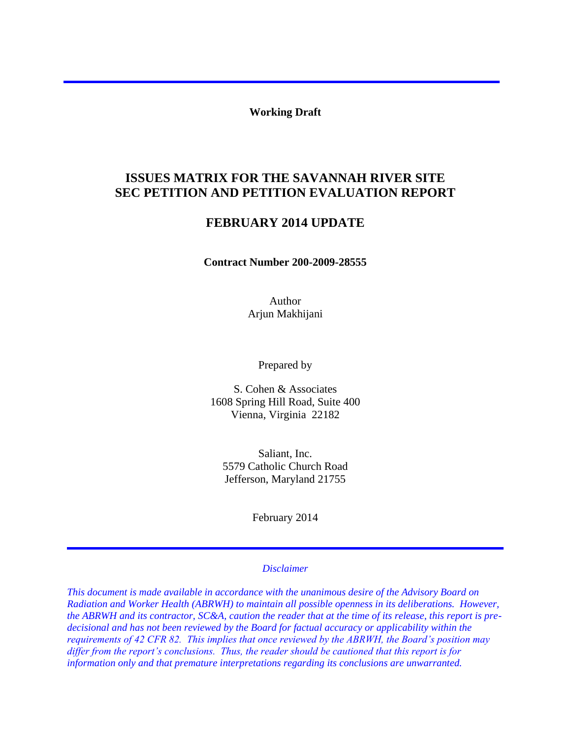**Working Draft** 

# **SEC PETITION AND PETITION EVALUATION REPORT ISSUES MATRIX FOR THE SAVANNAH RIVER SITE**

## **FEBRUARY 2014 UPDATE**

**Contract Number 200-2009-28555** 

Author Arjun Makhijani

Prepared by

S. Cohen & Associates 1608 Spring Hill Road, Suite 400 Vienna, Virginia 22182

Saliant, Inc. 5579 Catholic Church Road Jefferson, Maryland 21755

February 2014

#### *Disclaimer*

*This document is made available in accordance with the unanimous desire of the Advisory Board on Radiation and Worker Health (ABRWH) to maintain all possible openness in its deliberations. However, the ABRWH and its contractor, SC&A, caution the reader that at the time of its release, this report is predecisional and has not been reviewed by the Board for factual accuracy or applicability within the requirements of 42 CFR 82. This implies that once reviewed by the ABRWH, the Board's position may differ from the report's conclusions. Thus, the reader should be cautioned that this report is for information only and that premature interpretations regarding its conclusions are unwarranted.*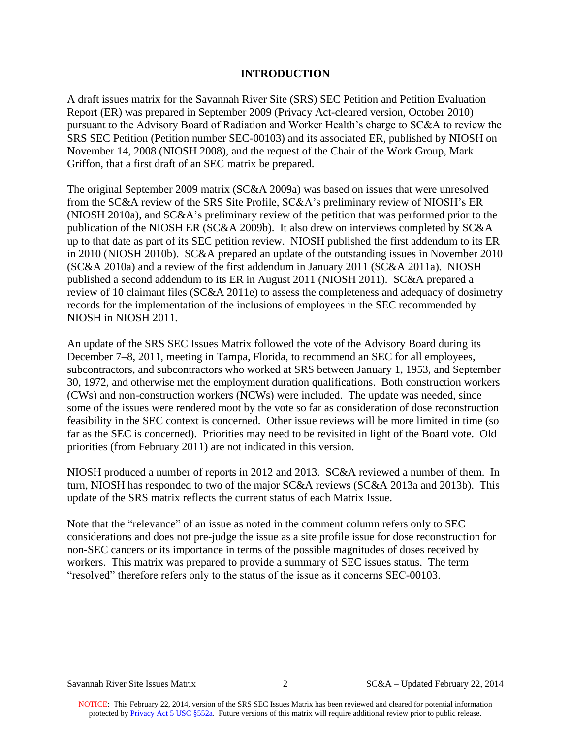#### **INTRODUCTION**

 A draft issues matrix for the Savannah River Site (SRS) SEC Petition and Petition Evaluation Report (ER) was prepared in September 2009 (Privacy Act-cleared version, October 2010) pursuant to the Advisory Board of Radiation and Worker Health's charge to SC&A to review the SRS SEC Petition (Petition number SEC-00103) and its associated ER, published by NIOSH on November 14, 2008 (NIOSH 2008), and the request of the Chair of the Work Group, Mark Griffon, that a first draft of an SEC matrix be prepared.

 The original September 2009 matrix (SC&A 2009a) was based on issues that were unresolved from the SC&A review of the SRS Site Profile, SC&A's preliminary review of NIOSH's ER up to that date as part of its SEC petition review. NIOSH published the first addendum to its ER in 2010 (NIOSH 2010b). SC&A prepared an update of the outstanding issues in November 2010 (SC&A 2010a) and a review of the first addendum in January 2011 (SC&A 2011a). NIOSH (NIOSH 2010a), and SC&A's preliminary review of the petition that was performed prior to the publication of the NIOSH ER (SC&A 2009b). It also drew on interviews completed by SC&A published a second addendum to its ER in August 2011 (NIOSH 2011). SC&A prepared a review of 10 claimant files (SC&A 2011e) to assess the completeness and adequacy of dosimetry records for the implementation of the inclusions of employees in the SEC recommended by NIOSH in NIOSH 2011.

 (CWs) and non-construction workers (NCWs) were included. The update was needed, since feasibility in the SEC context is concerned. Other issue reviews will be more limited in time (so far as the SEC is concerned). Priorities may need to be revisited in light of the Board vote. Old priorities (from February 2011) are not indicated in this version. An update of the SRS SEC Issues Matrix followed the vote of the Advisory Board during its December 7–8, 2011, meeting in Tampa, Florida, to recommend an SEC for all employees, subcontractors, and subcontractors who worked at SRS between January 1, 1953, and September 30, 1972, and otherwise met the employment duration qualifications. Both construction workers some of the issues were rendered moot by the vote so far as consideration of dose reconstruction

NIOSH produced a number of reports in 2012 and 2013. SC&A reviewed a number of them. In turn, NIOSH has responded to two of the major SC&A reviews (SC&A 2013a and 2013b). This update of the SRS matrix reflects the current status of each Matrix Issue.

 workers. This matrix was prepared to provide a summary of SEC issues status. The term Note that the "relevance" of an issue as noted in the comment column refers only to SEC considerations and does not pre-judge the issue as a site profile issue for dose reconstruction for non-SEC cancers or its importance in terms of the possible magnitudes of doses received by "resolved" therefore refers only to the status of the issue as it concerns SEC-00103.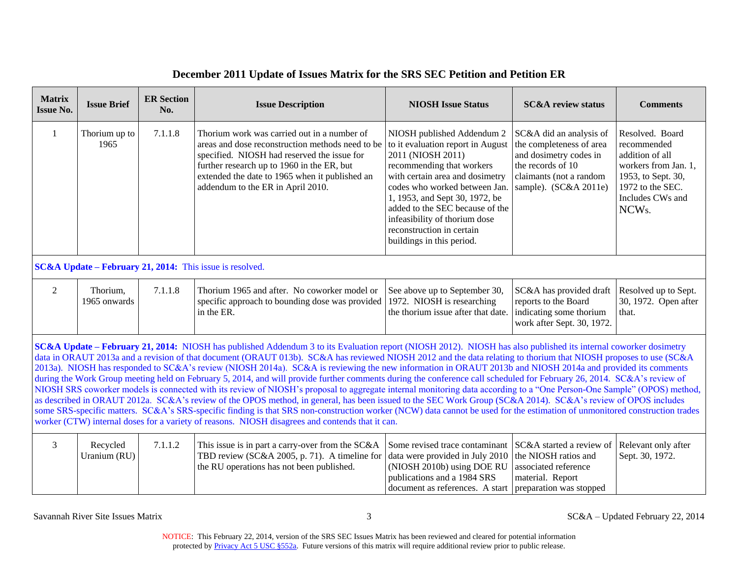| <b>Matrix</b><br><b>Issue No.</b> | <b>Issue Brief</b>                                                                                                                                                                                                                                                                                                                                                                                                                                                                                                                                                                                                                                                                                                                                                                                                                                                                                                                                                                                                                                                                                                                                                                                                                                                                                     | <b>ER Section</b><br>No. | <b>Issue Description</b>                                                                                                                                                                                                                                                            | <b>NIOSH Issue Status</b>                                                                                                                                                                                                                                                                                                                             | <b>SC&amp;A</b> review status                                                                                                                          | <b>Comments</b>                                                                                                                                               |
|-----------------------------------|--------------------------------------------------------------------------------------------------------------------------------------------------------------------------------------------------------------------------------------------------------------------------------------------------------------------------------------------------------------------------------------------------------------------------------------------------------------------------------------------------------------------------------------------------------------------------------------------------------------------------------------------------------------------------------------------------------------------------------------------------------------------------------------------------------------------------------------------------------------------------------------------------------------------------------------------------------------------------------------------------------------------------------------------------------------------------------------------------------------------------------------------------------------------------------------------------------------------------------------------------------------------------------------------------------|--------------------------|-------------------------------------------------------------------------------------------------------------------------------------------------------------------------------------------------------------------------------------------------------------------------------------|-------------------------------------------------------------------------------------------------------------------------------------------------------------------------------------------------------------------------------------------------------------------------------------------------------------------------------------------------------|--------------------------------------------------------------------------------------------------------------------------------------------------------|---------------------------------------------------------------------------------------------------------------------------------------------------------------|
| 1                                 | Thorium up to<br>1965                                                                                                                                                                                                                                                                                                                                                                                                                                                                                                                                                                                                                                                                                                                                                                                                                                                                                                                                                                                                                                                                                                                                                                                                                                                                                  | 7.1.1.8                  | Thorium work was carried out in a number of<br>areas and dose reconstruction methods need to be<br>specified. NIOSH had reserved the issue for<br>further research up to 1960 in the ER, but<br>extended the date to 1965 when it published an<br>addendum to the ER in April 2010. | NIOSH published Addendum 2<br>to it evaluation report in August<br>2011 (NIOSH 2011)<br>recommending that workers<br>with certain area and dosimetry<br>codes who worked between Jan.<br>1, 1953, and Sept 30, 1972, be<br>added to the SEC because of the<br>infeasibility of thorium dose<br>reconstruction in certain<br>buildings in this period. | SC&A did an analysis of<br>the completeness of area<br>and dosimetry codes in<br>the records of 10<br>claimants (not a random<br>sample). (SC&A 2011e) | Resolved. Board<br>recommended<br>addition of all<br>workers from Jan. 1,<br>1953, to Sept. 30,<br>1972 to the SEC.<br>Includes CWs and<br>NCW <sub>s</sub> . |
|                                   |                                                                                                                                                                                                                                                                                                                                                                                                                                                                                                                                                                                                                                                                                                                                                                                                                                                                                                                                                                                                                                                                                                                                                                                                                                                                                                        |                          | $SC&A Update - February 21, 2014$ : This issue is resolved.                                                                                                                                                                                                                         |                                                                                                                                                                                                                                                                                                                                                       |                                                                                                                                                        |                                                                                                                                                               |
| 2                                 | Thorium,<br>1965 onwards                                                                                                                                                                                                                                                                                                                                                                                                                                                                                                                                                                                                                                                                                                                                                                                                                                                                                                                                                                                                                                                                                                                                                                                                                                                                               | 7.1.1.8                  | Thorium 1965 and after. No coworker model or<br>specific approach to bounding dose was provided<br>in the ER.                                                                                                                                                                       | See above up to September 30,<br>1972. NIOSH is researching<br>the thorium issue after that date.                                                                                                                                                                                                                                                     | SC&A has provided draft<br>reports to the Board<br>indicating some thorium<br>work after Sept. 30, 1972.                                               | Resolved up to Sept.<br>30, 1972. Open after<br>that.                                                                                                         |
|                                   | SC&A Update - February 21, 2014: NIOSH has published Addendum 3 to its Evaluation report (NIOSH 2012). NIOSH has also published its internal coworker dosimetry<br>data in ORAUT 2013a and a revision of that document (ORAUT 013b). SC&A has reviewed NIOSH 2012 and the data relating to thorium that NIOSH proposes to use (SC&A<br>2013a). NIOSH has responded to SC&A's review (NIOSH 2014a). SC&A is reviewing the new information in ORAUT 2013b and NIOSH 2014a and provided its comments<br>during the Work Group meeting held on February 5, 2014, and will provide further comments during the conference call scheduled for February 26, 2014. SC&A's review of<br>NIOSH SRS coworker models is connected with its review of NIOSH's proposal to aggregate internal monitoring data according to a "One Person-One Sample" (OPOS) method,<br>as described in ORAUT 2012a. SC&A's review of the OPOS method, in general, has been issued to the SEC Work Group (SC&A 2014). SC&A's review of OPOS includes<br>some SRS-specific matters. SC&A's SRS-specific finding is that SRS non-construction worker (NCW) data cannot be used for the estimation of unmonitored construction trades<br>worker (CTW) internal doses for a variety of reasons. NIOSH disagrees and contends that it can. |                          |                                                                                                                                                                                                                                                                                     |                                                                                                                                                                                                                                                                                                                                                       |                                                                                                                                                        |                                                                                                                                                               |
| 3                                 | Recycled<br>Uranium (RU)                                                                                                                                                                                                                                                                                                                                                                                                                                                                                                                                                                                                                                                                                                                                                                                                                                                                                                                                                                                                                                                                                                                                                                                                                                                                               | 7.1.1.2                  | This issue is in part a carry-over from the SC&A<br>TBD review (SC&A 2005, p. 71). A timeline for<br>the RU operations has not been published.                                                                                                                                      | Some revised trace contaminant<br>data were provided in July 2010<br>(NIOSH 2010b) using DOE RU<br>publications and a 1984 SRS<br>document as references. A start                                                                                                                                                                                     | SC&A started a review of<br>the NIOSH ratios and<br>associated reference<br>material. Report<br>preparation was stopped                                | Relevant only after<br>Sept. 30, 1972.                                                                                                                        |

Savannah River Site Issues Matrix 3 SC&A – Updated February 22, 2014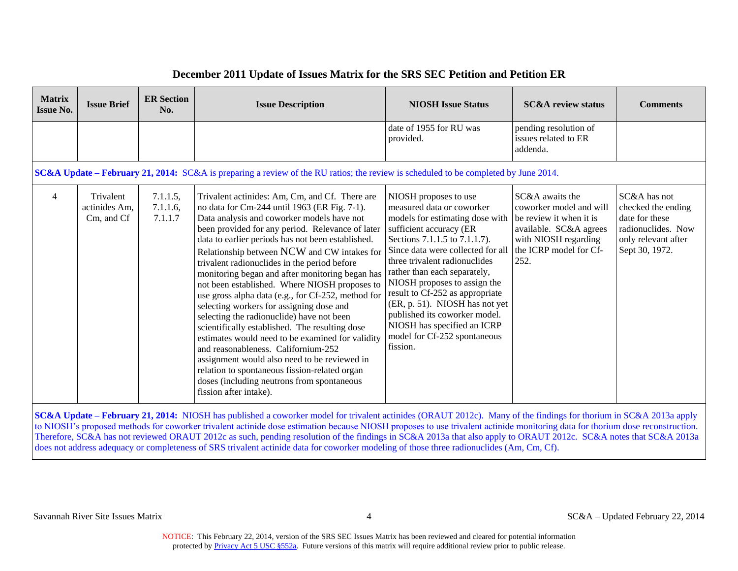| <b>Matrix</b><br><b>Issue No.</b> | <b>Issue Brief</b>                       | <b>ER Section</b><br>No.           | <b>Issue Description</b>                                                                                                                                                                                                                                                                                                                                                                                                                                                                                                                                                                                                                                                                                                                                                                                                                                                                                                      | <b>NIOSH Issue Status</b>                                                                                                                                                                                                                                                                                                                                                                                                                                                | <b>SC&amp;A</b> review status                                                                                                                             | <b>Comments</b>                                                                                                     |
|-----------------------------------|------------------------------------------|------------------------------------|-------------------------------------------------------------------------------------------------------------------------------------------------------------------------------------------------------------------------------------------------------------------------------------------------------------------------------------------------------------------------------------------------------------------------------------------------------------------------------------------------------------------------------------------------------------------------------------------------------------------------------------------------------------------------------------------------------------------------------------------------------------------------------------------------------------------------------------------------------------------------------------------------------------------------------|--------------------------------------------------------------------------------------------------------------------------------------------------------------------------------------------------------------------------------------------------------------------------------------------------------------------------------------------------------------------------------------------------------------------------------------------------------------------------|-----------------------------------------------------------------------------------------------------------------------------------------------------------|---------------------------------------------------------------------------------------------------------------------|
|                                   |                                          |                                    |                                                                                                                                                                                                                                                                                                                                                                                                                                                                                                                                                                                                                                                                                                                                                                                                                                                                                                                               | date of 1955 for RU was<br>provided.                                                                                                                                                                                                                                                                                                                                                                                                                                     | pending resolution of<br>issues related to ER<br>addenda.                                                                                                 |                                                                                                                     |
|                                   |                                          |                                    | <b>SC&amp;A Update – February 21, 2014:</b> SC&A is preparing a review of the RU ratios; the review is scheduled to be completed by June 2014.                                                                                                                                                                                                                                                                                                                                                                                                                                                                                                                                                                                                                                                                                                                                                                                |                                                                                                                                                                                                                                                                                                                                                                                                                                                                          |                                                                                                                                                           |                                                                                                                     |
| $\overline{4}$                    | Trivalent<br>actinides Am.<br>Cm, and Cf | 7.1.1.5,<br>$7.1.1.6$ ,<br>7.1.1.7 | Trivalent actinides: Am, Cm, and Cf. There are<br>no data for Cm-244 until 1963 (ER Fig. 7-1).<br>Data analysis and coworker models have not<br>been provided for any period. Relevance of later<br>data to earlier periods has not been established.<br>Relationship between NCW and CW intakes for<br>trivalent radionuclides in the period before<br>monitoring began and after monitoring began has<br>not been established. Where NIOSH proposes to<br>use gross alpha data (e.g., for Cf-252, method for<br>selecting workers for assigning dose and<br>selecting the radionuclide) have not been<br>scientifically established. The resulting dose<br>estimates would need to be examined for validity<br>and reasonableness. Californium-252<br>assignment would also need to be reviewed in<br>relation to spontaneous fission-related organ<br>doses (including neutrons from spontaneous<br>fission after intake). | NIOSH proposes to use<br>measured data or coworker<br>models for estimating dose with<br>sufficient accuracy (ER<br>Sections 7.1.1.5 to 7.1.1.7).<br>Since data were collected for all<br>three trivalent radionuclides<br>rather than each separately,<br>NIOSH proposes to assign the<br>result to Cf-252 as appropriate<br>(ER, p. 51). NIOSH has not yet<br>published its coworker model.<br>NIOSH has specified an ICRP<br>model for Cf-252 spontaneous<br>fission. | SC&A awaits the<br>coworker model and will<br>be review it when it is<br>available. SC&A agrees<br>with NIOSH regarding<br>the ICRP model for Cf-<br>252. | SC&A has not<br>checked the ending<br>date for these<br>radionuclides. Now<br>only relevant after<br>Sept 30, 1972. |

 **SC&A Update – February 21, 2014:** NIOSH has published a coworker model for trivalent actinides (ORAUT 2012c). Many of the findings for thorium in SC&A 2013a apply to NIOSH's proposed methods for coworker trivalent actinide dose estimation because NIOSH proposes to use trivalent actinide monitoring data for thorium dose reconstruction. Therefore, SC&A has not reviewed ORAUT 2012c as such, pending resolution of the findings in SC&A 2013a that also apply to ORAUT 2012c. SC&A notes that SC&A 2013a does not address adequacy or completeness of SRS trivalent actinide data for coworker modeling of those three radionuclides (Am, Cm, Cf).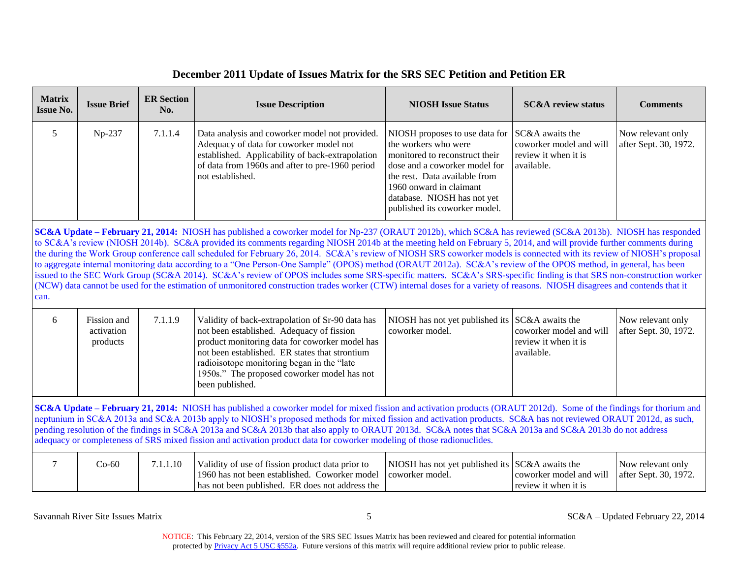| <b>ER Section</b><br><b>Matrix</b><br><b>Issue Brief</b><br><b>Issue Description</b><br>No.<br><b>Issue No.</b> |                                                                                                                                                                                                                                                                                                                                                                                                                                                                                                                                                                                                                                                                                                                                                                                                                                                                                                                                                                                                                                    | <b>NIOSH Issue Status</b> | <b>SC&amp;A</b> review status                                                                                                                                                                                                                                                                                                                                                                                                                                                                                                                                                                                                 | <b>Comments</b>                                                      |                                                                                  |                                            |
|-----------------------------------------------------------------------------------------------------------------|------------------------------------------------------------------------------------------------------------------------------------------------------------------------------------------------------------------------------------------------------------------------------------------------------------------------------------------------------------------------------------------------------------------------------------------------------------------------------------------------------------------------------------------------------------------------------------------------------------------------------------------------------------------------------------------------------------------------------------------------------------------------------------------------------------------------------------------------------------------------------------------------------------------------------------------------------------------------------------------------------------------------------------|---------------------------|-------------------------------------------------------------------------------------------------------------------------------------------------------------------------------------------------------------------------------------------------------------------------------------------------------------------------------------------------------------------------------------------------------------------------------------------------------------------------------------------------------------------------------------------------------------------------------------------------------------------------------|----------------------------------------------------------------------|----------------------------------------------------------------------------------|--------------------------------------------|
| 5                                                                                                               | Np-237<br>7.1.1.4<br>Data analysis and coworker model not provided.<br>SC&A awaits the<br>NIOSH proposes to use data for<br>Adequacy of data for coworker model not<br>the workers who were<br>established. Applicability of back-extrapolation<br>monitored to reconstruct their<br>review it when it is<br>of data from 1960s and after to pre-1960 period<br>dose and a coworker model for<br>available.<br>not established.<br>the rest. Data available from<br>1960 onward in claimant<br>database. NIOSH has not yet<br>published its coworker model.                                                                                                                                                                                                                                                                                                                                                                                                                                                                        |                           | coworker model and will                                                                                                                                                                                                                                                                                                                                                                                                                                                                                                                                                                                                       | Now relevant only<br>after Sept. 30, 1972.                           |                                                                                  |                                            |
| can.                                                                                                            | SC&A Update - February 21, 2014: NIOSH has published a coworker model for Np-237 (ORAUT 2012b), which SC&A has reviewed (SC&A 2013b). NIOSH has responded<br>to SC&A's review (NIOSH 2014b). SC&A provided its comments regarding NIOSH 2014b at the meeting held on February 5, 2014, and will provide further comments during<br>the during the Work Group conference call scheduled for February 26, 2014. SC&A's review of NIOSH SRS coworker models is connected with its review of NIOSH's proposal<br>to aggregate internal monitoring data according to a "One Person-One Sample" (OPOS) method (ORAUT 2012a). SC&A's review of the OPOS method, in general, has been<br>issued to the SEC Work Group (SC&A 2014). SC&A's review of OPOS includes some SRS-specific matters. SC&A's SRS-specific finding is that SRS non-construction worker<br>(NCW) data cannot be used for the estimation of unmonitored construction trades worker (CTW) internal doses for a variety of reasons. NIOSH disagrees and contends that it |                           |                                                                                                                                                                                                                                                                                                                                                                                                                                                                                                                                                                                                                               |                                                                      |                                                                                  |                                            |
| 6                                                                                                               | Fission and<br>activation<br>products                                                                                                                                                                                                                                                                                                                                                                                                                                                                                                                                                                                                                                                                                                                                                                                                                                                                                                                                                                                              | 7.1.1.9                   | Validity of back-extrapolation of Sr-90 data has<br>not been established. Adequacy of fission<br>product monitoring data for coworker model has<br>not been established. ER states that strontium<br>radioisotope monitoring began in the "late<br>1950s." The proposed coworker model has not<br>been published.                                                                                                                                                                                                                                                                                                             | NIOSH has not yet published its<br>coworker model.                   | SC&A awaits the<br>coworker model and will<br>review it when it is<br>available. | Now relevant only<br>after Sept. 30, 1972. |
|                                                                                                                 |                                                                                                                                                                                                                                                                                                                                                                                                                                                                                                                                                                                                                                                                                                                                                                                                                                                                                                                                                                                                                                    |                           | SC&A Update – February 21, 2014: NIOSH has published a coworker model for mixed fission and activation products (ORAUT 2012d). Some of the findings for thorium and<br>neptunium in SC&A 2013a and SC&A 2013b apply to NIOSH's proposed methods for mixed fission and activation products. SC&A has not reviewed ORAUT 2012d, as such,<br>pending resolution of the findings in SC&A 2013a and SC&A 2013b that also apply to ORAUT 2013d. SC&A notes that SC&A 2013a and SC&A 2013b do not address<br>adequacy or completeness of SRS mixed fission and activation product data for coworker modeling of those radionuclides. |                                                                      |                                                                                  |                                            |
| 7                                                                                                               | $Co-60$                                                                                                                                                                                                                                                                                                                                                                                                                                                                                                                                                                                                                                                                                                                                                                                                                                                                                                                                                                                                                            | 7.1.1.10                  | Validity of use of fission product data prior to<br>1960 has not been established. Coworker model<br>has not been published. ER does not address the                                                                                                                                                                                                                                                                                                                                                                                                                                                                          | NIOSH has not yet published its $SC&A$ awaits the<br>coworker model. | coworker model and will<br>review it when it is                                  | Now relevant only<br>after Sept. 30, 1972. |

Savannah River Site Issues Matrix 5 SC&A – Updated February 22, 2014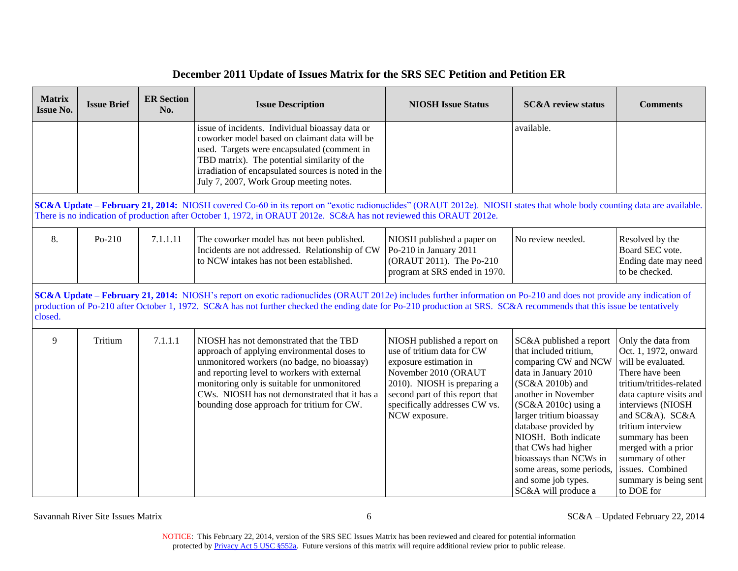| <b>Matrix</b><br><b>Issue No.</b> | <b>ER Section</b><br><b>Issue Brief</b><br><b>Issue Description</b><br>No. |          | <b>NIOSH Issue Status</b>                                                                                                                                                                                                                                                                                                                    | <b>SC&amp;A</b> review status                                                                                                                                                                                                   | <b>Comments</b>                                                                                                                                                                                                                                                                                                                                                              |                                                                                                                                                                                                                                                                                                                                   |
|-----------------------------------|----------------------------------------------------------------------------|----------|----------------------------------------------------------------------------------------------------------------------------------------------------------------------------------------------------------------------------------------------------------------------------------------------------------------------------------------------|---------------------------------------------------------------------------------------------------------------------------------------------------------------------------------------------------------------------------------|------------------------------------------------------------------------------------------------------------------------------------------------------------------------------------------------------------------------------------------------------------------------------------------------------------------------------------------------------------------------------|-----------------------------------------------------------------------------------------------------------------------------------------------------------------------------------------------------------------------------------------------------------------------------------------------------------------------------------|
|                                   |                                                                            |          | issue of incidents. Individual bioassay data or<br>coworker model based on claimant data will be<br>used. Targets were encapsulated (comment in<br>TBD matrix). The potential similarity of the<br>irradiation of encapsulated sources is noted in the<br>July 7, 2007, Work Group meeting notes.                                            |                                                                                                                                                                                                                                 | available.                                                                                                                                                                                                                                                                                                                                                                   |                                                                                                                                                                                                                                                                                                                                   |
|                                   |                                                                            |          | SC&A Update - February 21, 2014: NIOSH covered Co-60 in its report on "exotic radionuclides" (ORAUT 2012e). NIOSH states that whole body counting data are available.<br>There is no indication of production after October 1, 1972, in ORAUT 2012e. SC&A has not reviewed this ORAUT 2012e.                                                 |                                                                                                                                                                                                                                 |                                                                                                                                                                                                                                                                                                                                                                              |                                                                                                                                                                                                                                                                                                                                   |
| 8.                                | Po-210                                                                     | 7.1.1.11 | The coworker model has not been published.<br>Incidents are not addressed. Relationship of CW<br>to NCW intakes has not been established.                                                                                                                                                                                                    | NIOSH published a paper on<br>Po-210 in January 2011<br>(ORAUT 2011). The Po-210<br>program at SRS ended in 1970.                                                                                                               | No review needed.                                                                                                                                                                                                                                                                                                                                                            | Resolved by the<br>Board SEC vote.<br>Ending date may need<br>to be checked.                                                                                                                                                                                                                                                      |
| closed.                           |                                                                            |          | SC&A Update – February 21, 2014: NIOSH's report on exotic radionuclides (ORAUT 2012e) includes further information on Po-210 and does not provide any indication of<br>production of Po-210 after October 1, 1972. SC&A has not further checked the ending date for Po-210 production at SRS. SC&A recommends that this issue be tentatively |                                                                                                                                                                                                                                 |                                                                                                                                                                                                                                                                                                                                                                              |                                                                                                                                                                                                                                                                                                                                   |
| 9                                 | Tritium                                                                    | 7.1.1.1  | NIOSH has not demonstrated that the TBD<br>approach of applying environmental doses to<br>unmonitored workers (no badge, no bioassay)<br>and reporting level to workers with external<br>monitoring only is suitable for unmonitored<br>CWs. NIOSH has not demonstrated that it has a<br>bounding dose approach for tritium for CW.          | NIOSH published a report on<br>use of tritium data for CW<br>exposure estimation in<br>November 2010 (ORAUT<br>2010). NIOSH is preparing a<br>second part of this report that<br>specifically addresses CW vs.<br>NCW exposure. | SC&A published a report<br>that included tritium,<br>comparing CW and NCW<br>data in January 2010<br>(SC&A 2010b) and<br>another in November<br>$(SC&A2010c)$ using a<br>larger tritium bioassay<br>database provided by<br>NIOSH. Both indicate<br>that CWs had higher<br>bioassays than NCWs in<br>some areas, some periods,<br>and some job types.<br>SC&A will produce a | Only the data from<br>Oct. 1, 1972, onward<br>will be evaluated.<br>There have been<br>tritium/tritides-related<br>data capture visits and<br>interviews (NIOSH<br>and SC&A). SC&A<br>tritium interview<br>summary has been<br>merged with a prior<br>summary of other<br>issues. Combined<br>summary is being sent<br>to DOE for |

Savannah River Site Issues Matrix 6 SC&A – Updated February 22, 2014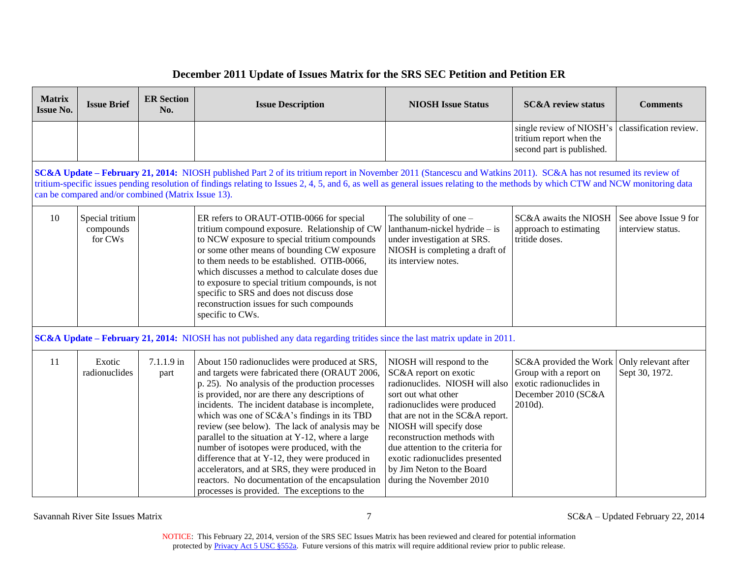#### **SC&A Update – February 21, 2014:** NIOSH published Part 2 of its tritium report in November 2011 (Stancescu and Watkins 2011). SC&A has not resumed its review of tritium compound exposure. Relationship of CW See above Issue 9 for **Matrix Issue No. Issue Brief ER Section**  NIOSH Issue Description **NIOSH Issue Status** SC&A review status Comments **No.** single review of NIOSH's tritium report when the second part is published. classification review. tritium-specific issues pending resolution of findings relating to Issues 2, 4, 5, and 6, as well as general issues relating to the methods by which CTW and NCW monitoring data can be compared and/or combined (Matrix Issue 13). 10 Special tritium compounds for CWs ER refers to ORAUT-OTIB-0066 for special to NCW exposure to special tritium compounds or some other means of bounding CW exposure to them needs to be established. OTIB-0066, which discusses a method to calculate doses due to exposure to special tritium compounds, is not specific to SRS and does not discuss dose reconstruction issues for such compounds specific to CWs. The solubility of one – lanthanum-nickel hydride – is under investigation at SRS. NIOSH is completing a draft of its interview notes. SC&A awaits the NIOSH approach to estimating tritide doses. interview status. **SC&A Update – February 21, 2014:** NIOSH has not published any data regarding tritides since the last matrix update in 2011. 11 Exotic radionuclides 7.1.1.9 in part About 150 radionuclides were produced at SRS, and targets were fabricated there (ORAUT 2006, p. 25). No analysis of the production processes is provided, nor are there any descriptions of incidents. The incident database is incomplete, which was one of SC&A's findings in its TBD review (see below). The lack of analysis may be parallel to the situation at Y-12, where a large number of isotopes were produced, with the difference that at Y-12, they were produced in accelerators, and at SRS, they were produced in reactors. No documentation of the encapsulation processes is provided. The exceptions to the NIOSH will respond to the SC&A report on exotic radionuclides. NIOSH will also sort out what other radionuclides were produced that are not in the SC&A report. NIOSH will specify dose reconstruction methods with due attention to the criteria for exotic radionuclides presented by Jim Neton to the Board during the November 2010 SC&A provided the Work Group with a report on exotic radionuclides in December 2010 (SC&A 2010d). Only relevant after Sept 30, 1972.

### **December 2011 Update of Issues Matrix for the SRS SEC Petition and Petition ER**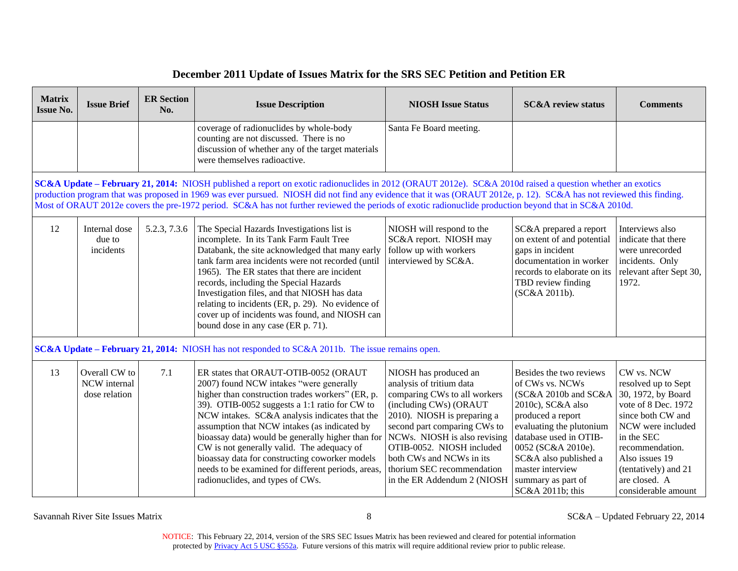| <b>Matrix</b><br><b>Issue No.</b>                                                                                                                                                                                                                                                                                                                                                                                                                                                          | <b>Issue Brief</b>                             | <b>ER Section</b><br>No. | <b>Issue Description</b>                                                                                                                                                                                                                                                                                                                                                                                                                                                                                                              | <b>NIOSH Issue Status</b>                                                                                                                                                                                                                                                                                                        | <b>SC&amp;A</b> review status                                                                                                                                                                                                                                                   | <b>Comments</b>                                                                                                                                                                                                                             |
|--------------------------------------------------------------------------------------------------------------------------------------------------------------------------------------------------------------------------------------------------------------------------------------------------------------------------------------------------------------------------------------------------------------------------------------------------------------------------------------------|------------------------------------------------|--------------------------|---------------------------------------------------------------------------------------------------------------------------------------------------------------------------------------------------------------------------------------------------------------------------------------------------------------------------------------------------------------------------------------------------------------------------------------------------------------------------------------------------------------------------------------|----------------------------------------------------------------------------------------------------------------------------------------------------------------------------------------------------------------------------------------------------------------------------------------------------------------------------------|---------------------------------------------------------------------------------------------------------------------------------------------------------------------------------------------------------------------------------------------------------------------------------|---------------------------------------------------------------------------------------------------------------------------------------------------------------------------------------------------------------------------------------------|
|                                                                                                                                                                                                                                                                                                                                                                                                                                                                                            |                                                |                          | coverage of radionuclides by whole-body<br>Santa Fe Board meeting.<br>counting are not discussed. There is no<br>discussion of whether any of the target materials<br>were themselves radioactive.                                                                                                                                                                                                                                                                                                                                    |                                                                                                                                                                                                                                                                                                                                  |                                                                                                                                                                                                                                                                                 |                                                                                                                                                                                                                                             |
| SC&A Update - February 21, 2014: NIOSH published a report on exotic radionuclides in 2012 (ORAUT 2012e). SC&A 2010d raised a question whether an exotics<br>production program that was proposed in 1969 was ever pursued. NIOSH did not find any evidence that it was (ORAUT 2012e, p. 12). SC&A has not reviewed this finding.<br>Most of ORAUT 2012e covers the pre-1972 period. SC&A has not further reviewed the periods of exotic radionuclide production beyond that in SC&A 2010d. |                                                |                          |                                                                                                                                                                                                                                                                                                                                                                                                                                                                                                                                       |                                                                                                                                                                                                                                                                                                                                  |                                                                                                                                                                                                                                                                                 |                                                                                                                                                                                                                                             |
| 12                                                                                                                                                                                                                                                                                                                                                                                                                                                                                         | Internal dose<br>due to<br>incidents           | 5.2.3, 7.3.6             | The Special Hazards Investigations list is<br>incomplete. In its Tank Farm Fault Tree<br>Databank, the site acknowledged that many early<br>tank farm area incidents were not recorded (until<br>1965). The ER states that there are incident<br>records, including the Special Hazards<br>Investigation files, and that NIOSH has data<br>relating to incidents (ER, p. 29). No evidence of<br>cover up of incidents was found, and NIOSH can<br>bound dose in any case (ER p. 71).                                                  | NIOSH will respond to the<br>SC&A report. NIOSH may<br>follow up with workers<br>interviewed by SC&A.                                                                                                                                                                                                                            | SC&A prepared a report<br>on extent of and potential<br>gaps in incident<br>documentation in worker<br>records to elaborate on its<br>TBD review finding<br>(SC&A 2011b).                                                                                                       | Interviews also<br>indicate that there<br>were unrecorded<br>incidents. Only<br>relevant after Sept 30,<br>1972.                                                                                                                            |
|                                                                                                                                                                                                                                                                                                                                                                                                                                                                                            |                                                |                          | <b>SC&amp;A Update – February 21, 2014:</b> NIOSH has not responded to SC&A 2011b. The issue remains open.                                                                                                                                                                                                                                                                                                                                                                                                                            |                                                                                                                                                                                                                                                                                                                                  |                                                                                                                                                                                                                                                                                 |                                                                                                                                                                                                                                             |
| 13                                                                                                                                                                                                                                                                                                                                                                                                                                                                                         | Overall CW to<br>NCW internal<br>dose relation | 7.1                      | ER states that ORAUT-OTIB-0052 (ORAUT<br>2007) found NCW intakes "were generally<br>higher than construction trades workers" (ER, p.<br>39). OTIB-0052 suggests a 1:1 ratio for CW to<br>NCW intakes. SC&A analysis indicates that the<br>assumption that NCW intakes (as indicated by<br>bioassay data) would be generally higher than for<br>CW is not generally valid. The adequacy of<br>bioassay data for constructing coworker models<br>needs to be examined for different periods, areas,<br>radionuclides, and types of CWs. | NIOSH has produced an<br>analysis of tritium data<br>comparing CWs to all workers<br>(including CWs) (ORAUT<br>2010). NIOSH is preparing a<br>second part comparing CWs to<br>NCWs. NIOSH is also revising<br>OTIB-0052. NIOSH included<br>both CWs and NCWs in its<br>thorium SEC recommendation<br>in the ER Addendum 2 (NIOSH | Besides the two reviews<br>of CWs vs. NCWs<br>(SC&A 2010b and SC&A<br>2010c), SC&A also<br>produced a report<br>evaluating the plutonium<br>database used in OTIB-<br>0052 (SC&A 2010e).<br>SC&A also published a<br>master interview<br>summary as part of<br>SC&A 2011b; this | CW vs. NCW<br>resolved up to Sept<br>30, 1972, by Board<br>vote of 8 Dec. 1972<br>since both CW and<br>NCW were included<br>in the SEC<br>recommendation.<br>Also issues 19<br>(tentatively) and 21<br>are closed. A<br>considerable amount |

Savannah River Site Issues Matrix 8 SC&A – Updated February 22, 2014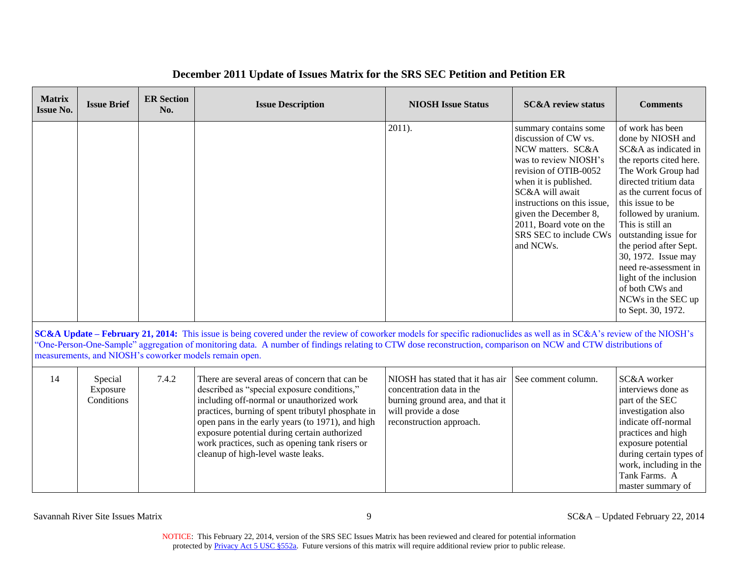#### was to review NIOSH's when it is published. SC&A will await 30, 1972. Issue may **Matrix Issue No. Issue Brief ER Section**  NIOSH Issue Description **NIOSH Issue Status** SC&A review status Comments **No.** 2011). Summary contains some discussion of CW vs. NCW matters. SC&A revision of OTIB-0052 instructions on this issue, given the December 8, 2011, Board vote on the SRS SEC to include CWs and NCWs. of work has been done by NIOSH and SC&A as indicated in the reports cited here. The Work Group had directed tritium data as the current focus of this issue to be followed by uranium. This is still an outstanding issue for the period after Sept. need re-assessment in light of the inclusion of both CWs and NCWs in the SEC up to Sept. 30, 1972.

## **December 2011 Update of Issues Matrix for the SRS SEC Petition and Petition ER**

 **SC&A Update – February 21, 2014:** This issue is being covered under the review of coworker models for specific radionuclides as well as in SC&A's review of the NIOSH's "One-Person-One-Sample" aggregation of monitoring data. A number of findings relating to CTW dose reconstruction, comparison on NCW and CTW distributions of measurements, and NIOSH's coworker models remain open.

| 14 | Special<br>Exposure<br>Conditions | 7.4.2 | There are several areas of concern that can be<br>described as "special exposure conditions,"<br>including off-normal or unauthorized work<br>practices, burning of spent tributyl phosphate in<br>open pans in the early years (to 1971), and high<br>exposure potential during certain authorized<br>work practices, such as opening tank risers or<br>cleanup of high-level waste leaks. | NIOSH has stated that it has air 1 See comment column.<br>concentration data in the<br>burning ground area, and that it<br>will provide a dose<br>reconstruction approach. |  | SC&A worker<br>interviews done as<br>part of the SEC<br>investigation also<br>indicate off-normal<br>practices and high<br>exposure potential<br>during certain types of<br>work, including in the<br>Tank Farms. A<br>master summary of |
|----|-----------------------------------|-------|---------------------------------------------------------------------------------------------------------------------------------------------------------------------------------------------------------------------------------------------------------------------------------------------------------------------------------------------------------------------------------------------|----------------------------------------------------------------------------------------------------------------------------------------------------------------------------|--|------------------------------------------------------------------------------------------------------------------------------------------------------------------------------------------------------------------------------------------|
|----|-----------------------------------|-------|---------------------------------------------------------------------------------------------------------------------------------------------------------------------------------------------------------------------------------------------------------------------------------------------------------------------------------------------------------------------------------------------|----------------------------------------------------------------------------------------------------------------------------------------------------------------------------|--|------------------------------------------------------------------------------------------------------------------------------------------------------------------------------------------------------------------------------------------|

Savannah River Site Issues Matrix 22, 2014<br>
9 SC&A – Updated February 22, 2014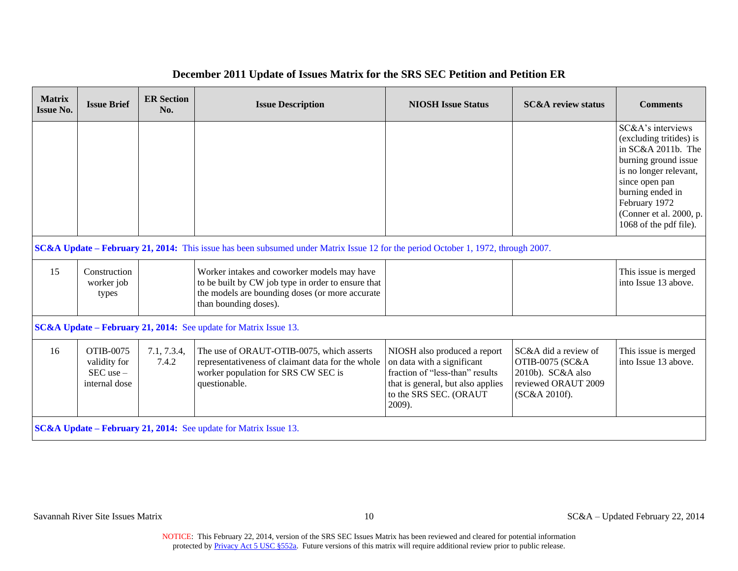| <b>Matrix</b><br><b>Issue No.</b> | <b>Issue Brief</b>                                          | <b>ER Section</b><br>No. | <b>Issue Description</b>                                                                                                                                                      | <b>NIOSH Issue Status</b>                                                                                                                                              | <b>SC&amp;A</b> review status                                                                                   | <b>Comments</b>                                                                                                                                                                                                                  |
|-----------------------------------|-------------------------------------------------------------|--------------------------|-------------------------------------------------------------------------------------------------------------------------------------------------------------------------------|------------------------------------------------------------------------------------------------------------------------------------------------------------------------|-----------------------------------------------------------------------------------------------------------------|----------------------------------------------------------------------------------------------------------------------------------------------------------------------------------------------------------------------------------|
|                                   |                                                             |                          |                                                                                                                                                                               |                                                                                                                                                                        |                                                                                                                 | SC&A's interviews<br>(excluding tritides) is<br>in SC&A 2011b. The<br>burning ground issue<br>is no longer relevant,<br>since open pan<br>burning ended in<br>February 1972<br>(Conner et al. 2000, p.<br>1068 of the pdf file). |
|                                   |                                                             |                          | SC&A Update – February 21, 2014: This issue has been subsumed under Matrix Issue 12 for the period October 1, 1972, through 2007.                                             |                                                                                                                                                                        |                                                                                                                 |                                                                                                                                                                                                                                  |
| 15                                | Construction<br>worker job<br>types                         |                          | Worker intakes and coworker models may have<br>to be built by CW job type in order to ensure that<br>the models are bounding doses (or more accurate<br>than bounding doses). |                                                                                                                                                                        |                                                                                                                 | This issue is merged<br>into Issue 13 above.                                                                                                                                                                                     |
|                                   |                                                             |                          | <b>SC&amp;A Update – February 21, 2014:</b> See update for Matrix Issue 13.                                                                                                   |                                                                                                                                                                        |                                                                                                                 |                                                                                                                                                                                                                                  |
| 16                                | OTIB-0075<br>validity for<br>$SEC$ use $-$<br>internal dose | 7.1, 7.3.4,<br>7.4.2     | The use of ORAUT-OTIB-0075, which asserts<br>representativeness of claimant data for the whole<br>worker population for SRS CW SEC is<br>questionable.                        | NIOSH also produced a report<br>on data with a significant<br>fraction of "less-than" results<br>that is general, but also applies<br>to the SRS SEC. (ORAUT<br>2009). | SC&A did a review of<br><b>OTIB-0075 (SC&amp;A</b><br>2010b). SC&A also<br>reviewed ORAUT 2009<br>(SC&A 2010f). | This issue is merged<br>into Issue 13 above.                                                                                                                                                                                     |
|                                   |                                                             |                          | <b>SC&amp;A Update – February 21, 2014:</b> See update for Matrix Issue 13.                                                                                                   |                                                                                                                                                                        |                                                                                                                 |                                                                                                                                                                                                                                  |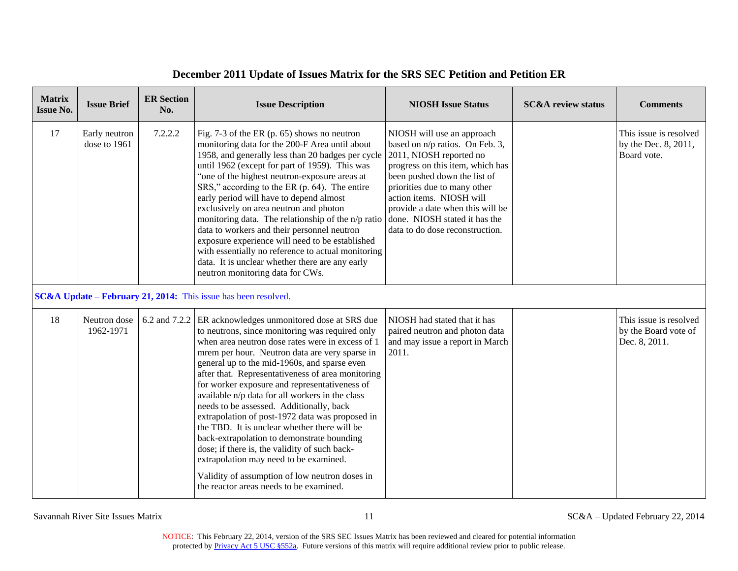| <b>Matrix</b><br><b>Issue No.</b> | <b>Issue Brief</b>            | <b>ER Section</b><br>No. | <b>Issue Description</b>                                                                                                                                                                                                                                                                                                                                                                                                                                                                                                                                                                                                                                                                                                                                                                           | <b>NIOSH Issue Status</b>                                                                                                                                                                                                                                                                                                        | <b>SC&amp;A</b> review status | <b>Comments</b>                                                 |
|-----------------------------------|-------------------------------|--------------------------|----------------------------------------------------------------------------------------------------------------------------------------------------------------------------------------------------------------------------------------------------------------------------------------------------------------------------------------------------------------------------------------------------------------------------------------------------------------------------------------------------------------------------------------------------------------------------------------------------------------------------------------------------------------------------------------------------------------------------------------------------------------------------------------------------|----------------------------------------------------------------------------------------------------------------------------------------------------------------------------------------------------------------------------------------------------------------------------------------------------------------------------------|-------------------------------|-----------------------------------------------------------------|
| 17                                | Early neutron<br>dose to 1961 | 7.2.2.2                  | Fig. $7-3$ of the ER (p. 65) shows no neutron<br>monitoring data for the 200-F Area until about<br>1958, and generally less than 20 badges per cycle<br>until 1962 (except for part of 1959). This was<br>"one of the highest neutron-exposure areas at<br>SRS," according to the ER (p. 64). The entire<br>early period will have to depend almost<br>exclusively on area neutron and photon<br>monitoring data. The relationship of the n/p ratio<br>data to workers and their personnel neutron<br>exposure experience will need to be established<br>with essentially no reference to actual monitoring<br>data. It is unclear whether there are any early<br>neutron monitoring data for CWs.                                                                                                 | NIOSH will use an approach<br>based on n/p ratios. On Feb. 3,<br>2011, NIOSH reported no<br>progress on this item, which has<br>been pushed down the list of<br>priorities due to many other<br>action items. NIOSH will<br>provide a date when this will be<br>done. NIOSH stated it has the<br>data to do dose reconstruction. |                               | This issue is resolved<br>by the Dec. 8, 2011,<br>Board vote.   |
|                                   |                               |                          | SC&A Update - February 21, 2014: This issue has been resolved.                                                                                                                                                                                                                                                                                                                                                                                                                                                                                                                                                                                                                                                                                                                                     |                                                                                                                                                                                                                                                                                                                                  |                               |                                                                 |
| 18                                | Neutron dose<br>1962-1971     | 6.2 and 7.2.2            | ER acknowledges unmonitored dose at SRS due<br>to neutrons, since monitoring was required only<br>when area neutron dose rates were in excess of 1<br>mrem per hour. Neutron data are very sparse in<br>general up to the mid-1960s, and sparse even<br>after that. Representativeness of area monitoring<br>for worker exposure and representativeness of<br>available n/p data for all workers in the class<br>needs to be assessed. Additionally, back<br>extrapolation of post-1972 data was proposed in<br>the TBD. It is unclear whether there will be<br>back-extrapolation to demonstrate bounding<br>dose; if there is, the validity of such back-<br>extrapolation may need to be examined.<br>Validity of assumption of low neutron doses in<br>the reactor areas needs to be examined. | NIOSH had stated that it has<br>paired neutron and photon data<br>and may issue a report in March<br>2011.                                                                                                                                                                                                                       |                               | This issue is resolved<br>by the Board vote of<br>Dec. 8, 2011. |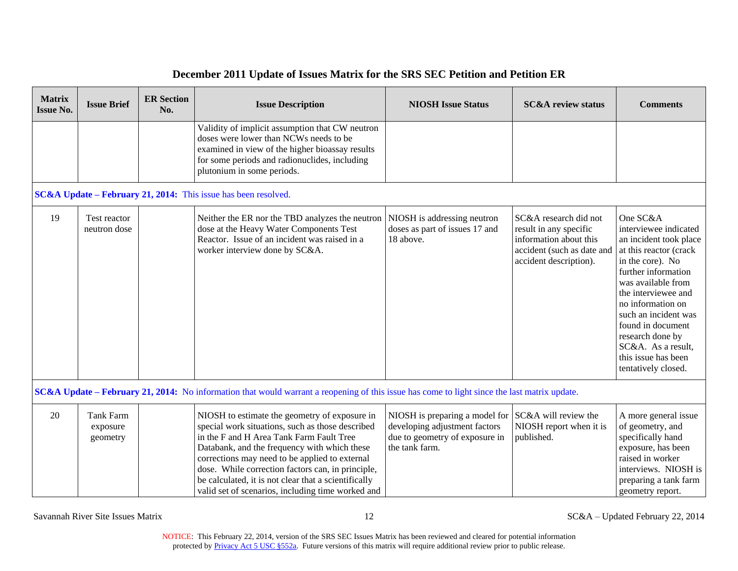|  |  | December 2011 Update of Issues Matrix for the SRS SEC Petition and Petition ER |  |  |
|--|--|--------------------------------------------------------------------------------|--|--|
|--|--|--------------------------------------------------------------------------------|--|--|

| <b>Matrix</b><br><b>Issue No.</b> | <b>Issue Brief</b>                       | <b>ER Section</b><br>No. | <b>Issue Description</b>                                                                                                                                                                                                                                                                                                                                                                                          | <b>NIOSH Issue Status</b>                                                                                           | <b>SC&amp;A</b> review status                                                                                                     | <b>Comments</b>                                                                                                                                                                                                                                                                                                                         |
|-----------------------------------|------------------------------------------|--------------------------|-------------------------------------------------------------------------------------------------------------------------------------------------------------------------------------------------------------------------------------------------------------------------------------------------------------------------------------------------------------------------------------------------------------------|---------------------------------------------------------------------------------------------------------------------|-----------------------------------------------------------------------------------------------------------------------------------|-----------------------------------------------------------------------------------------------------------------------------------------------------------------------------------------------------------------------------------------------------------------------------------------------------------------------------------------|
|                                   |                                          |                          | Validity of implicit assumption that CW neutron<br>doses were lower than NCWs needs to be<br>examined in view of the higher bioassay results<br>for some periods and radionuclides, including<br>plutonium in some periods.                                                                                                                                                                                       |                                                                                                                     |                                                                                                                                   |                                                                                                                                                                                                                                                                                                                                         |
|                                   |                                          |                          | SC&A Update – February 21, 2014: This issue has been resolved.                                                                                                                                                                                                                                                                                                                                                    |                                                                                                                     |                                                                                                                                   |                                                                                                                                                                                                                                                                                                                                         |
| 19                                | Test reactor<br>neutron dose             |                          | Neither the ER nor the TBD analyzes the neutron<br>dose at the Heavy Water Components Test<br>Reactor. Issue of an incident was raised in a<br>worker interview done by SC&A.                                                                                                                                                                                                                                     | NIOSH is addressing neutron<br>doses as part of issues 17 and<br>18 above.                                          | SC&A research did not<br>result in any specific<br>information about this<br>accident (such as date and<br>accident description). | One SC&A<br>interviewee indicated<br>an incident took place<br>at this reactor (crack<br>in the core). No<br>further information<br>was available from<br>the interviewee and<br>no information on<br>such an incident was<br>found in document<br>research done by<br>SC&A. As a result,<br>this issue has been<br>tentatively closed. |
|                                   |                                          |                          | <b>SC&amp;A Update – February 21, 2014:</b> No information that would warrant a reopening of this issue has come to light since the last matrix update.                                                                                                                                                                                                                                                           |                                                                                                                     |                                                                                                                                   |                                                                                                                                                                                                                                                                                                                                         |
| 20                                | <b>Tank Farm</b><br>exposure<br>geometry |                          | NIOSH to estimate the geometry of exposure in<br>special work situations, such as those described<br>in the F and H Area Tank Farm Fault Tree<br>Databank, and the frequency with which these<br>corrections may need to be applied to external<br>dose. While correction factors can, in principle,<br>be calculated, it is not clear that a scientifically<br>valid set of scenarios, including time worked and | NIOSH is preparing a model for<br>developing adjustment factors<br>due to geometry of exposure in<br>the tank farm. | SC&A will review the<br>NIOSH report when it is<br>published.                                                                     | A more general issue<br>of geometry, and<br>specifically hand<br>exposure, has been<br>raised in worker<br>interviews. NIOSH is<br>preparing a tank farm<br>geometry report.                                                                                                                                                            |

Savannah River Site Issues Matrix 12 SC&A – Updated February 22, 2014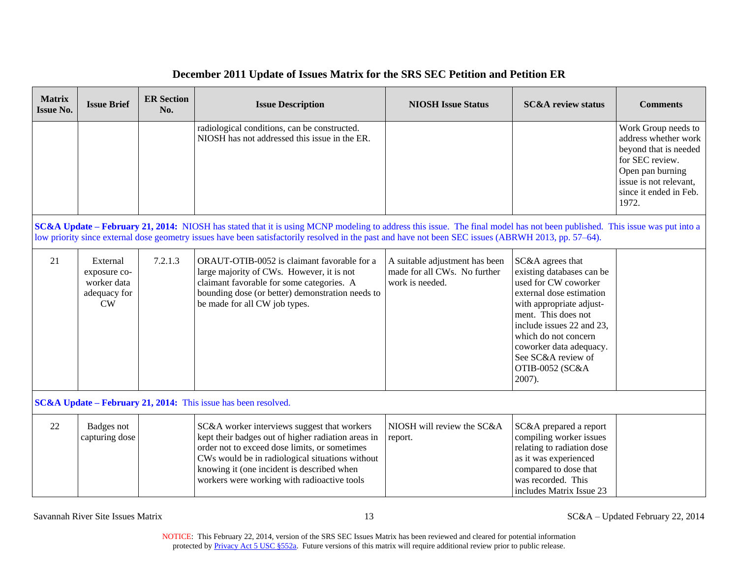| <b>Matrix</b><br><b>Issue No.</b> | <b>Issue Brief</b>                                                   | <b>ER Section</b><br>No. | <b>Issue Description</b>                                                                                                                                                                                                                                                                                                          | <b>NIOSH Issue Status</b>                                                         | <b>SC&amp;A</b> review status                                                                                                                                                                                                                                                           | <b>Comments</b>                                                                                                                                                          |
|-----------------------------------|----------------------------------------------------------------------|--------------------------|-----------------------------------------------------------------------------------------------------------------------------------------------------------------------------------------------------------------------------------------------------------------------------------------------------------------------------------|-----------------------------------------------------------------------------------|-----------------------------------------------------------------------------------------------------------------------------------------------------------------------------------------------------------------------------------------------------------------------------------------|--------------------------------------------------------------------------------------------------------------------------------------------------------------------------|
|                                   |                                                                      |                          | radiological conditions, can be constructed.<br>NIOSH has not addressed this issue in the ER.                                                                                                                                                                                                                                     |                                                                                   |                                                                                                                                                                                                                                                                                         | Work Group needs to<br>address whether work<br>beyond that is needed<br>for SEC review.<br>Open pan burning<br>issue is not relevant,<br>since it ended in Feb.<br>1972. |
|                                   |                                                                      |                          | SC&A Update – February 21, 2014: NIOSH has stated that it is using MCNP modeling to address this issue. The final model has not been published. This issue was put into a<br>low priority since external dose geometry issues have been satisfactorily resolved in the past and have not been SEC issues (ABRWH 2013, pp. 57–64). |                                                                                   |                                                                                                                                                                                                                                                                                         |                                                                                                                                                                          |
| 21                                | External<br>exposure co-<br>worker data<br>adequacy for<br><b>CW</b> | 7.2.1.3                  | ORAUT-OTIB-0052 is claimant favorable for a<br>large majority of CWs. However, it is not<br>claimant favorable for some categories. A<br>bounding dose (or better) demonstration needs to<br>be made for all CW job types.                                                                                                        | A suitable adjustment has been<br>made for all CWs. No further<br>work is needed. | SC&A agrees that<br>existing databases can be<br>used for CW coworker<br>external dose estimation<br>with appropriate adjust-<br>ment. This does not<br>include issues 22 and 23,<br>which do not concern<br>coworker data adequacy.<br>See SC&A review of<br>OTIB-0052 (SC&A<br>2007). |                                                                                                                                                                          |
|                                   |                                                                      |                          | SC&A Update – February 21, 2014: This issue has been resolved.                                                                                                                                                                                                                                                                    |                                                                                   |                                                                                                                                                                                                                                                                                         |                                                                                                                                                                          |
| 22                                | Badges not<br>capturing dose                                         |                          | SC&A worker interviews suggest that workers<br>kept their badges out of higher radiation areas in<br>order not to exceed dose limits, or sometimes<br>CWs would be in radiological situations without<br>knowing it (one incident is described when<br>workers were working with radioactive tools                                | NIOSH will review the SC&A<br>report.                                             | SC&A prepared a report<br>compiling worker issues<br>relating to radiation dose<br>as it was experienced<br>compared to dose that<br>was recorded. This<br>includes Matrix Issue 23                                                                                                     |                                                                                                                                                                          |

Savannah River Site Issues Matrix 13 SC&A – Updated February 22, 2014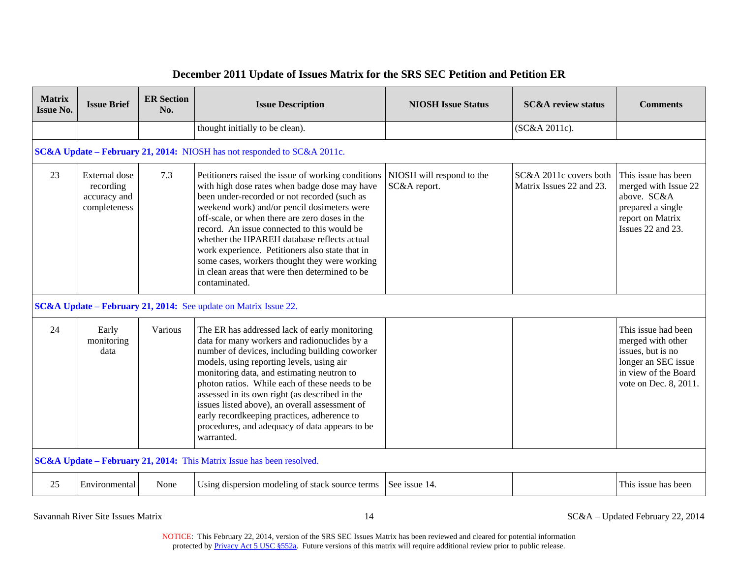| <b>Matrix</b><br><b>Issue No.</b>                                       | <b>Issue Brief</b>                                         | <b>ER Section</b><br>No. | <b>Issue Description</b>                                                                                                                                                                                                                                                                                                                                                                                                                                                                                                  | <b>NIOSH Issue Status</b>                 | <b>SC&amp;A</b> review status                      | <b>Comments</b>                                                                                                                       |  |  |  |  |
|-------------------------------------------------------------------------|------------------------------------------------------------|--------------------------|---------------------------------------------------------------------------------------------------------------------------------------------------------------------------------------------------------------------------------------------------------------------------------------------------------------------------------------------------------------------------------------------------------------------------------------------------------------------------------------------------------------------------|-------------------------------------------|----------------------------------------------------|---------------------------------------------------------------------------------------------------------------------------------------|--|--|--|--|
|                                                                         |                                                            |                          | thought initially to be clean).                                                                                                                                                                                                                                                                                                                                                                                                                                                                                           |                                           | (SC&A 2011c).                                      |                                                                                                                                       |  |  |  |  |
| SC&A Update - February 21, 2014: NIOSH has not responded to SC&A 2011c. |                                                            |                          |                                                                                                                                                                                                                                                                                                                                                                                                                                                                                                                           |                                           |                                                    |                                                                                                                                       |  |  |  |  |
| 23                                                                      | External dose<br>recording<br>accuracy and<br>completeness | 7.3                      | Petitioners raised the issue of working conditions<br>with high dose rates when badge dose may have<br>been under-recorded or not recorded (such as<br>weekend work) and/or pencil dosimeters were<br>off-scale, or when there are zero doses in the<br>record. An issue connected to this would be<br>whether the HPAREH database reflects actual<br>work experience. Petitioners also state that in<br>some cases, workers thought they were working<br>in clean areas that were then determined to be<br>contaminated. | NIOSH will respond to the<br>SC&A report. | SC&A 2011c covers both<br>Matrix Issues 22 and 23. | This issue has been<br>merged with Issue 22<br>above. SC&A<br>prepared a single<br>report on Matrix<br>Issues 22 and 23.              |  |  |  |  |
| SC&A Update - February 21, 2014: See update on Matrix Issue 22.         |                                                            |                          |                                                                                                                                                                                                                                                                                                                                                                                                                                                                                                                           |                                           |                                                    |                                                                                                                                       |  |  |  |  |
| 24                                                                      | Early<br>monitoring<br>data                                | Various                  | The ER has addressed lack of early monitoring<br>data for many workers and radionuclides by a<br>number of devices, including building coworker<br>models, using reporting levels, using air<br>monitoring data, and estimating neutron to<br>photon ratios. While each of these needs to be<br>assessed in its own right (as described in the<br>issues listed above), an overall assessment of<br>early recordkeeping practices, adherence to<br>procedures, and adequacy of data appears to be<br>warranted.           |                                           |                                                    | This issue had been<br>merged with other<br>issues, but is no<br>longer an SEC issue<br>in view of the Board<br>vote on Dec. 8, 2011. |  |  |  |  |
| SC&A Update - February 21, 2014: This Matrix Issue has been resolved.   |                                                            |                          |                                                                                                                                                                                                                                                                                                                                                                                                                                                                                                                           |                                           |                                                    |                                                                                                                                       |  |  |  |  |
| 25                                                                      | Environmental                                              | None                     | Using dispersion modeling of stack source terms                                                                                                                                                                                                                                                                                                                                                                                                                                                                           | See issue 14.                             |                                                    | This issue has been                                                                                                                   |  |  |  |  |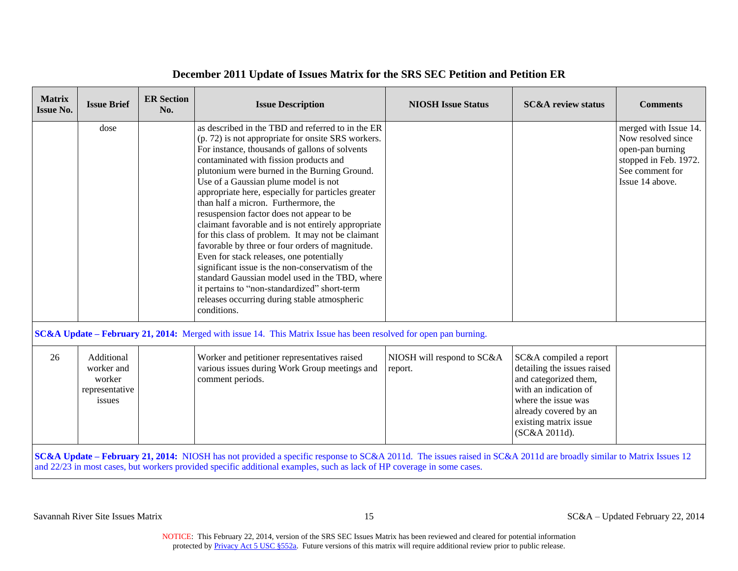| <b>Matrix</b><br><b>Issue No.</b>                                                                                                                                  | <b>Issue Brief</b>                                             | <b>ER Section</b><br>No. | <b>Issue Description</b>                                                                                                                                                                                                                                                                                                                                                                                                                                                                                                                                                                                                                                                                                                                                                                                                                                              | <b>NIOSH Issue Status</b>             | <b>SC&amp;A</b> review status                                                                                                                                                                     | <b>Comments</b>                                                                                                                |  |  |  |
|--------------------------------------------------------------------------------------------------------------------------------------------------------------------|----------------------------------------------------------------|--------------------------|-----------------------------------------------------------------------------------------------------------------------------------------------------------------------------------------------------------------------------------------------------------------------------------------------------------------------------------------------------------------------------------------------------------------------------------------------------------------------------------------------------------------------------------------------------------------------------------------------------------------------------------------------------------------------------------------------------------------------------------------------------------------------------------------------------------------------------------------------------------------------|---------------------------------------|---------------------------------------------------------------------------------------------------------------------------------------------------------------------------------------------------|--------------------------------------------------------------------------------------------------------------------------------|--|--|--|
|                                                                                                                                                                    | dose                                                           |                          | as described in the TBD and referred to in the ER<br>(p. 72) is not appropriate for onsite SRS workers.<br>For instance, thousands of gallons of solvents<br>contaminated with fission products and<br>plutonium were burned in the Burning Ground.<br>Use of a Gaussian plume model is not<br>appropriate here, especially for particles greater<br>than half a micron. Furthermore, the<br>resuspension factor does not appear to be<br>claimant favorable and is not entirely appropriate<br>for this class of problem. It may not be claimant<br>favorable by three or four orders of magnitude.<br>Even for stack releases, one potentially<br>significant issue is the non-conservatism of the<br>standard Gaussian model used in the TBD, where<br>it pertains to "non-standardized" short-term<br>releases occurring during stable atmospheric<br>conditions. |                                       |                                                                                                                                                                                                   | merged with Issue 14.<br>Now resolved since<br>open-pan burning<br>stopped in Feb. 1972.<br>See comment for<br>Issue 14 above. |  |  |  |
| <b>SC&amp;A Update – February 21, 2014:</b> Merged with issue 14. This Matrix Issue has been resolved for open pan burning.                                        |                                                                |                          |                                                                                                                                                                                                                                                                                                                                                                                                                                                                                                                                                                                                                                                                                                                                                                                                                                                                       |                                       |                                                                                                                                                                                                   |                                                                                                                                |  |  |  |
| 26                                                                                                                                                                 | Additional<br>worker and<br>worker<br>representative<br>issues |                          | Worker and petitioner representatives raised<br>various issues during Work Group meetings and<br>comment periods.                                                                                                                                                                                                                                                                                                                                                                                                                                                                                                                                                                                                                                                                                                                                                     | NIOSH will respond to SC&A<br>report. | SC&A compiled a report<br>detailing the issues raised<br>and categorized them,<br>with an indication of<br>where the issue was<br>already covered by an<br>existing matrix issue<br>(SC&A 2011d). |                                                                                                                                |  |  |  |
| SC&A Update – February 21, 2014: NIOSH has not provided a specific response to SC&A 2011d. The issues raised in SC&A 2011d are broadly similar to Matrix Issues 12 |                                                                |                          |                                                                                                                                                                                                                                                                                                                                                                                                                                                                                                                                                                                                                                                                                                                                                                                                                                                                       |                                       |                                                                                                                                                                                                   |                                                                                                                                |  |  |  |

and 22/23 in most cases, but workers provided specific additional examples, such as lack of HP coverage in some cases.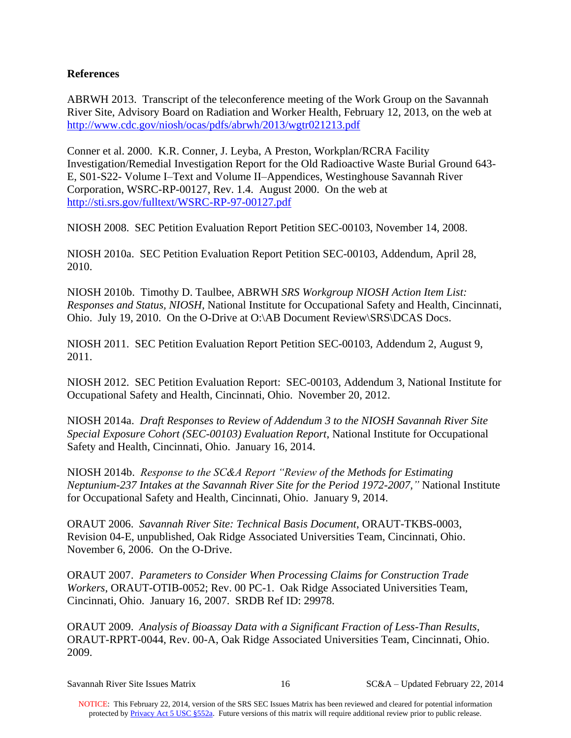#### **References**

 <http://www.cdc.gov/niosh/ocas/pdfs/abrwh/2013/wgtr021213.pdf> ABRWH 2013. Transcript of the teleconference meeting of the Work Group on the Savannah River Site, Advisory Board on Radiation and Worker Health, February 12, 2013, on the web at

Conner et al. 2000. K.R. Conner, J. Leyba, A Preston, Workplan/RCRA Facility Investigation/Remedial Investigation Report for the Old Radioactive Waste Burial Ground 643- E, S01-S22- Volume I–Text and Volume II–Appendices, Westinghouse Savannah River Corporation, WSRC-RP-00127, Rev. 1.4. August 2000. On the web at <http://sti.srs.gov/fulltext/WSRC-RP-97-00127.pdf>

NIOSH 2008. SEC Petition Evaluation Report Petition SEC-00103, November 14, 2008.

NIOSH 2010a. SEC Petition Evaluation Report Petition SEC-00103, Addendum, April 28, 2010.

Ohio. July 19, 2010. On the O-Drive at O:\AB Document Review\SRS\DCAS Docs. NIOSH 2010b. Timothy D. Taulbee, ABRWH *SRS Workgroup NIOSH Action Item List: Responses and Status, NIOSH*, National Institute for Occupational Safety and Health, Cincinnati,

NIOSH 2011. SEC Petition Evaluation Report Petition SEC-00103, Addendum 2, August 9, 2011.

 NIOSH 2012. SEC Petition Evaluation Report: SEC-00103, Addendum 3, National Institute for Occupational Safety and Health, Cincinnati, Ohio. November 20, 2012.

 Safety and Health, Cincinnati, Ohio. January 16, 2014. NIOSH 2014a. *Draft Responses to Review of Addendum 3 to the NIOSH Savannah River Site Special Exposure Cohort (SEC-00103) Evaluation Report*, National Institute for Occupational

NIOSH 2014b. *Response to the SC&A Report "Review of the Methods for Estimating Neptunium-237 Intakes at the Savannah River Site for the Period 1972-2007,"* National Institute for Occupational Safety and Health, Cincinnati, Ohio. January 9, 2014.

 ORAUT 2006. *Savannah River Site: Technical Basis Document*, ORAUT-TKBS-0003, Revision 04-E, unpublished, Oak Ridge Associated Universities Team, Cincinnati, Ohio. November 6, 2006. On the O-Drive.

 ORAUT 2007. *Parameters to Consider When Processing Claims for Construction Trade Workers*, ORAUT-OTIB-0052; Rev. 00 PC-1. Oak Ridge Associated Universities Team, Cincinnati, Ohio. January 16, 2007. SRDB Ref ID: 29978.

 ORAUT 2009. *Analysis of Bioassay Data with a Significant Fraction of Less-Than Results*, ORAUT-RPRT-0044, Rev. 00-A, Oak Ridge Associated Universities Team, Cincinnati, Ohio. 2009.

 $SC&A-Updated February 22, 2014$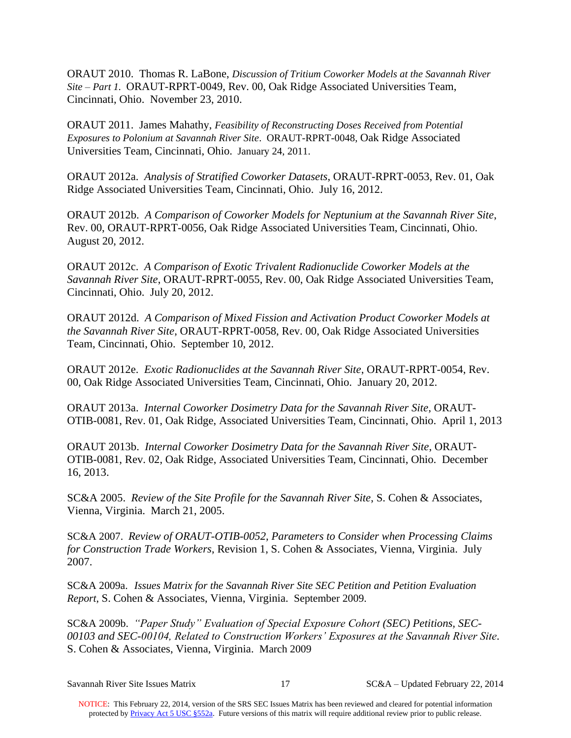*Site – Part 1.* ORAUT-RPRT-0049, Rev. 00, Oak Ridge Associated Universities Team, ORAUT 2010. Thomas R. LaBone, *Discussion of Tritium Coworker Models at the Savannah River*  Cincinnati, Ohio. November 23, 2010.

 ORAUT 2011. James Mahathy, *Feasibility of Reconstructing Doses Received from Potential*  Universities Team, Cincinnati, Ohio. January 24, 2011. *Exposures to Polonium at Savannah River Site*. ORAUT-RPRT-0048, Oak Ridge Associated

 ORAUT 2012a. *Analysis of Stratified Coworker Datasets*, ORAUT-RPRT-0053, Rev. 01, Oak Ridge Associated Universities Team, Cincinnati, Ohio. July 16, 2012.

 ORAUT 2012b. *A Comparison of Coworker Models for Neptunium at the Savannah River Site*, Rev. 00, ORAUT-RPRT-0056, Oak Ridge Associated Universities Team, Cincinnati, Ohio. August 20, 2012.

ORAUT 2012c. *A Comparison of Exotic Trivalent Radionuclide Coworker Models at the Savannah River Site*, ORAUT-RPRT-0055, Rev. 00, Oak Ridge Associated Universities Team, Cincinnati, Ohio. July 20, 2012.

ORAUT 2012d. *A Comparison of Mixed Fission and Activation Product Coworker Models at the Savannah River Site*, ORAUT-RPRT-0058, Rev. 00, Oak Ridge Associated Universities Team, Cincinnati, Ohio. September 10, 2012.

ORAUT 2012e. *Exotic Radionuclides at the Savannah River Site*, ORAUT-RPRT-0054, Rev. 00, Oak Ridge Associated Universities Team, Cincinnati, Ohio. January 20, 2012.

ORAUT 2013a. *Internal Coworker Dosimetry Data for the Savannah River Site*, ORAUT-OTIB-0081, Rev. 01, Oak Ridge, Associated Universities Team, Cincinnati, Ohio. April 1, 2013

 ORAUT 2013b. *Internal Coworker Dosimetry Data for the Savannah River Site*, ORAUT- OTIB-0081, Rev. 02, Oak Ridge, Associated Universities Team, Cincinnati, Ohio. December 16, 2013.

SC&A 2005. *Review of the Site Profile for the Savannah River Site*, S. Cohen & Associates, Vienna, Virginia. March 21, 2005.

 SC&A 2007. *Review of ORAUT-OTIB-0052, Parameters to Consider when Processing Claims for Construction Trade Workers*, Revision 1, S. Cohen & Associates, Vienna, Virginia. July 2007.

SC&A 2009a. *Issues Matrix for the Savannah River Site SEC Petition and Petition Evaluation Report*, S. Cohen & Associates, Vienna, Virginia. September 2009.

 *00103 and SEC-00104, Related to Construction Workers' Exposures at the Savannah River Site.*  S. Cohen & Associates, Vienna, Virginia. March 2009 SC&A 2009b. *"Paper Study" Evaluation of Special Exposure Cohort (SEC) Petitions, SEC-*

 $SC&A-Updated February 22, 2014$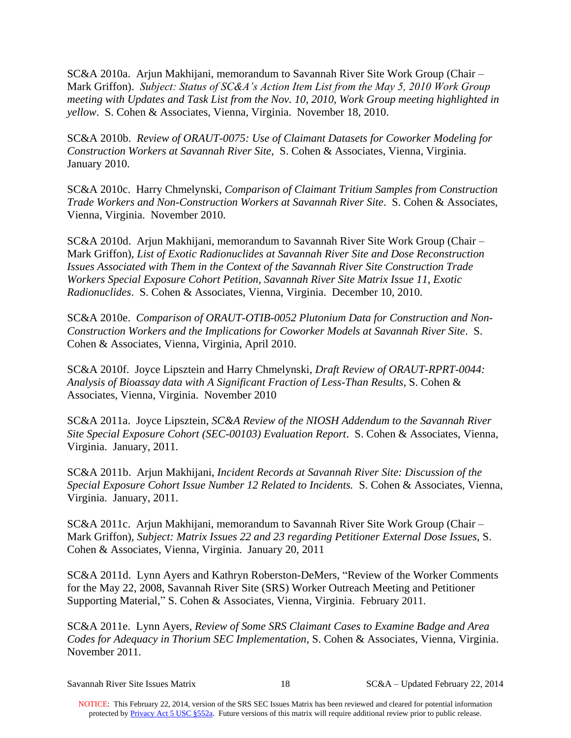SC&A 2010a. Arjun Makhijani, memorandum to Savannah River Site Work Group (Chair – Mark Griffon). *Subject: Status of SC&A's Action Item List from the May 5, 2010 Work Group meeting with Updates and Task List from the Nov. 10, 2010, Work Group meeting highlighted in yellow*. S. Cohen & Associates, Vienna, Virginia. November 18, 2010.

**January 2010.** SC&A 2010b. *Review of ORAUT-0075: Use of Claimant Datasets for Coworker Modeling for Construction Workers at Savannah River Site*, S. Cohen & Associates, Vienna, Virginia.

SC&A 2010c. Harry Chmelynski, *Comparison of Claimant Tritium Samples from Construction Trade Workers and Non-Construction Workers at Savannah River Site*. S. Cohen & Associates, Vienna, Virginia. November 2010.

SC&A 2010d. Arjun Makhijani, memorandum to Savannah River Site Work Group (Chair – Mark Griffon), *List of Exotic Radionuclides at Savannah River Site and Dose Reconstruction Issues Associated with Them in the Context of the Savannah River Site Construction Trade Workers Special Exposure Cohort Petition, Savannah River Site Matrix Issue 11, Exotic Radionuclides*. S. Cohen & Associates, Vienna, Virginia. December 10, 2010.

SC&A 2010e. *Comparison of ORAUT-OTIB-0052 Plutonium Data for Construction and Non-Construction Workers and the Implications for Coworker Models at Savannah River Site*. S. Cohen & Associates, Vienna, Virginia, April 2010.

SC&A 2010f. Joyce Lipsztein and Harry Chmelynski, *Draft Review of ORAUT-RPRT-0044: Analysis of Bioassay data with A Significant Fraction of Less-Than Results*, S. Cohen & Associates, Vienna, Virginia. November 2010

SC&A 2011a. Joyce Lipsztein, *SC&A Review of the NIOSH Addendum to the Savannah River Site Special Exposure Cohort (SEC-00103) Evaluation Report*. S. Cohen & Associates, Vienna, Virginia. January, 2011.

 *Special Exposure Cohort Issue Number 12 Related to Incidents.* S. Cohen & Associates, Vienna, Virginia. January, 2011. SC&A 2011b. Arjun Makhijani, *Incident Records at Savannah River Site: Discussion of the* 

SC&A 2011c. Arjun Makhijani, memorandum to Savannah River Site Work Group (Chair – Mark Griffon), *Subject: Matrix Issues 22 and 23 regarding Petitioner External Dose Issues,* S. Cohen & Associates, Vienna, Virginia. January 20, 2011

SC&A 2011d. Lynn Ayers and Kathryn Roberston-DeMers, "Review of the Worker Comments for the May 22, 2008, Savannah River Site (SRS) Worker Outreach Meeting and Petitioner Supporting Material," S. Cohen & Associates, Vienna, Virginia. February 2011.

 *Codes for Adequacy in Thorium SEC Implementation*, S. Cohen & Associates, Vienna, Virginia. November 2011. November 2011. SC&A 2011e. Lynn Ayers, *Review of Some SRS Claimant Cases to Examine Badge and Area* 

 $SC&A-Updated February 22, 2014$